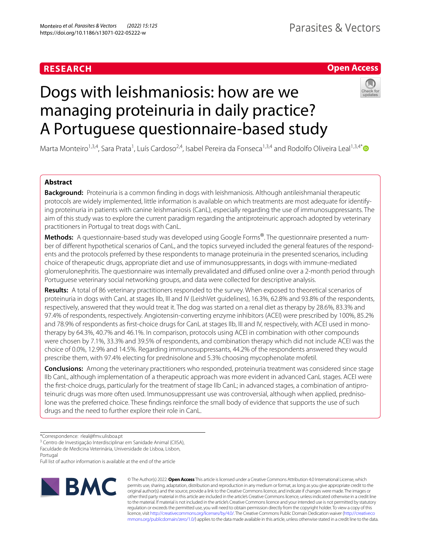# **RESEARCH**

# **Open Access**

# Dogs with leishmaniosis: how are we managing proteinuria in daily practice? A Portuguese questionnaire-based study



Marta Monteiro<sup>1,3,4</sup>, Sara Prata<sup>1</sup>, Luís Cardoso<sup>2,4</sup>, Isabel Pereira da Fonseca<sup>1,3,4</sup> and Rodolfo Oliveira Leal<sup>1,3,4[\\*](http://orcid.org/0000-0002-2463-4062)</sup>

# **Abstract**

**Background:** Proteinuria is a common fnding in dogs with leishmaniosis. Although antileishmanial therapeutic protocols are widely implemented, little information is available on which treatments are most adequate for identifying proteinuria in patients with canine leishmaniosis (CanL), especially regarding the use of immunosuppressants. The aim of this study was to explore the current paradigm regarding the antiproteinuric approach adopted by veterinary practitioners in Portugal to treat dogs with CanL.

**Methods:** A questionnaire-based study was developed using Google Forms®. The questionnaire presented a number of diferent hypothetical scenarios of CanL, and the topics surveyed included the general features of the respondents and the protocols preferred by these respondents to manage proteinuria in the presented scenarios, including choice of therapeutic drugs, appropriate diet and use of immunosuppressants, in dogs with immune-mediated glomerulonephritis. The questionnaire was internally prevalidated and difused online over a 2-month period through Portuguese veterinary social networking groups, and data were collected for descriptive analysis.

**Results:** A total of 86 veterinary practitioners responded to the survey. When exposed to theoretical scenarios of proteinuria in dogs with CanL at stages IIb, III and IV (LeishVet guidelines), 16.3%, 62.8% and 93.8% of the respondents, respectively, answered that they would treat it. The dog was started on a renal diet as therapy by 28.6%, 83.3% and 97.4% of respondents, respectively. Angiotensin-converting enzyme inhibitors (ACEI) were prescribed by 100%, 85.2% and 78.9% of respondents as frst-choice drugs for CanL at stages IIb, III and IV, respectively, with ACEI used in monotherapy by 64.3%, 40.7% and 46.1%. In comparison, protocols using ACEI in combination with other compounds were chosen by 7.1%, 33.3% and 39.5% of respondents, and combination therapy which did not include ACEI was the choice of 0.0%, 12.9% and 14.5%. Regarding immunosuppressants, 44.2% of the respondents answered they would prescribe them, with 97.4% electing for prednisolone and 5.3% choosing mycophenolate mofetil.

**Conclusions:** Among the veterinary practitioners who responded, proteinuria treatment was considered since stage IIb CanL, although implementation of a therapeutic approach was more evident in advanced CanL stages. ACEI were the frst-choice drugs, particularly for the treatment of stage IIb CanL; in advanced stages, a combination of antiproteinuric drugs was more often used. Immunosuppressant use was controversial, although when applied, prednisolone was the preferred choice. These fndings reinforce the small body of evidence that supports the use of such drugs and the need to further explore their role in CanL.

Full list of author information is available at the end of the article



© The Author(s) 2022. **Open Access** This article is licensed under a Creative Commons Attribution 4.0 International License, which permits use, sharing, adaptation, distribution and reproduction in any medium or format, as long as you give appropriate credit to the original author(s) and the source, provide a link to the Creative Commons licence, and indicate if changes were made. The images or other third party material in this article are included in the article's Creative Commons licence, unless indicated otherwise in a credit line to the material. If material is not included in the article's Creative Commons licence and your intended use is not permitted by statutory regulation or exceeds the permitted use, you will need to obtain permission directly from the copyright holder. To view a copy of this licence, visit [http://creativecommons.org/licenses/by/4.0/.](http://creativecommons.org/licenses/by/4.0/) The Creative Commons Public Domain Dedication waiver ([http://creativeco](http://creativecommons.org/publicdomain/zero/1.0/) [mmons.org/publicdomain/zero/1.0/](http://creativecommons.org/publicdomain/zero/1.0/)) applies to the data made available in this article, unless otherwise stated in a credit line to the data.

<sup>\*</sup>Correspondence: rleal@fmv.ulisboa.pt

<sup>&</sup>lt;sup>3</sup> Centro de Investigação Interdisciplinar em Sanidade Animal (CIISA), Faculdade de Medicina Veterinária, Universidade de Lisboa, Lisbon,

Portugal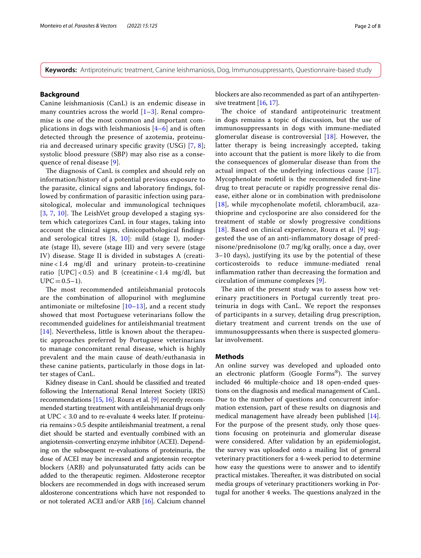**Keywords:** Antiproteinuric treatment, Canine leishmaniosis, Dog, Immunosuppressants, Questionnaire-based study

# **Background**

Canine leishmaniosis (CanL) is an endemic disease in many countries across the world  $[1-3]$  $[1-3]$ . Renal compromise is one of the most common and important complications in dogs with leishmaniosis  $[4-6]$  $[4-6]$  and is often detected through the presence of azotemia, proteinuria and decreased urinary specifc gravity (USG) [\[7](#page-6-4), [8](#page-6-5)]; systolic blood pressure (SBP) may also rise as a consequence of renal disease [[9\]](#page-6-6).

The diagnosis of CanL is complex and should rely on information/history of a potential previous exposure to the parasite, clinical signs and laboratory fndings, followed by confrmation of parasitic infection using parasitological, molecular and immunological techniques  $[3, 7, 10]$  $[3, 7, 10]$  $[3, 7, 10]$  $[3, 7, 10]$  $[3, 7, 10]$  $[3, 7, 10]$  $[3, 7, 10]$ . The LeishVet group developed a staging system which categorizes CanL in four stages, taking into account the clinical signs, clinicopathological fndings and serological titres [[8](#page-6-5), [10\]](#page-6-7): mild (stage I), moderate (stage II), severe (stage III) and very severe (stage IV) disease. Stage II is divided in substages A (creatinine < 1.4 mg/dl and urinary protein-to-creatinine ratio  $[UPC] < 0.5$ ) and B (creatinine < 1.4 mg/dl, but  $UPC = 0.5-1$ .

The most recommended antileishmanial protocols are the combination of allopurinol with meglumine antimoniate or miltefosine  $[10-13]$  $[10-13]$ , and a recent study showed that most Portuguese veterinarians follow the recommended guidelines for antileishmanial treatment [[14](#page-6-9)]. Nevertheless, little is known about the therapeutic approaches preferred by Portuguese veterinarians to manage concomitant renal disease, which is highly prevalent and the main cause of death/euthanasia in these canine patients, particularly in those dogs in latter stages of CanL.

Kidney disease in CanL should be classifed and treated following the International Renal Interest Society (IRIS) recommendations [[15](#page-6-10), [16\]](#page-6-11). Roura et al. [\[9\]](#page-6-6) recently recommended starting treatment with antileishmanial drugs only at UPC < 3.0 and to re-evaluate 4 weeks later. If proteinuria remains>0.5 despite antileishmanial treatment, a renal diet should be started and eventually combined with an angiotensin-converting enzyme inhibitor (ACEI). Depending on the subsequent re-evaluations of proteinuria, the dose of ACEI may be increased and angiotensin receptor blockers (ARB) and polyunsaturated fatty acids can be added to the therapeutic regimen. Aldosterone receptor blockers are recommended in dogs with increased serum aldosterone concentrations which have not responded to or not tolerated ACEI and/or ARB [\[16\]](#page-6-11). Calcium channel blockers are also recommended as part of an antihyperten-sive treatment [[16](#page-6-11), [17](#page-6-12)].

The choice of standard antiproteinuric treatment in dogs remains a topic of discussion, but the use of immunosuppressants in dogs with immune-mediated glomerular disease is controversial  $[18]$  $[18]$  $[18]$ . However, the latter therapy is being increasingly accepted, taking into account that the patient is more likely to die from the consequences of glomerular disease than from the actual impact of the underlying infectious cause [[17](#page-6-12)]. Mycophenolate mofetil is the recommended frst-line drug to treat peracute or rapidly progressive renal disease, either alone or in combination with prednisolone [[18](#page-6-13)], while mycophenolate mofetil, chlorambucil, azathioprine and cyclosporine are also considered for the treatment of stable or slowly progressive conditions [[18](#page-6-13)]. Based on clinical experience, Roura et al. [\[9](#page-6-6)] suggested the use of an anti-infammatory dosage of prednisone/prednisolone (0.7 mg/kg orally, once a day, over 3–10 days), justifying its use by the potential of these corticosteroids to reduce immune-mediated renal infammation rather than decreasing the formation and circulation of immune complexes [[9\]](#page-6-6).

The aim of the present study was to assess how veterinary practitioners in Portugal currently treat proteinuria in dogs with CanL. We report the responses of participants in a survey, detailing drug prescription, dietary treatment and current trends on the use of immunosuppressants when there is suspected glomerular involvement.

# **Methods**

An online survey was developed and uploaded onto an electronic platform (Google Forms<sup>®</sup>). The survey included 46 multiple-choice and 18 open-ended questions on the diagnosis and medical management of CanL. Due to the number of questions and concurrent information extension, part of these results on diagnosis and medical management have already been published [\[14](#page-6-9)]. For the purpose of the present study, only those questions focusing on proteinuria and glomerular disease were considered. After validation by an epidemiologist, the survey was uploaded onto a mailing list of general veterinary practitioners for a 4-week period to determine how easy the questions were to answer and to identify practical mistakes. Thereafter, it was distributed on social media groups of veterinary practitioners working in Portugal for another 4 weeks. The questions analyzed in the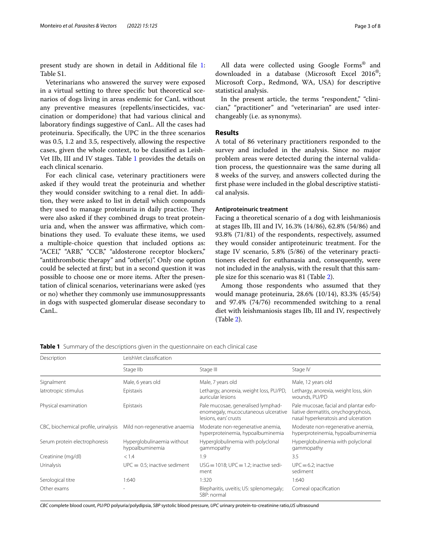present study are shown in detail in Additional fle [1](#page-6-14): Table S1.

Veterinarians who answered the survey were exposed in a virtual setting to three specifc but theoretical scenarios of dogs living in areas endemic for CanL without any preventive measures (repellents/insecticides, vaccination or domperidone) that had various clinical and laboratory fndings suggestive of CanL. All the cases had proteinuria. Specifcally, the UPC in the three scenarios was 0.5, 1.2 and 3.5, respectively, allowing the respective cases, given the whole context, to be classifed as Leish-Vet IIb, III and IV stages. Table [1](#page-2-0) provides the details on each clinical scenario.

For each clinical case, veterinary practitioners were asked if they would treat the proteinuria and whether they would consider switching to a renal diet. In addition, they were asked to list in detail which compounds they used to manage proteinuria in daily practice. They were also asked if they combined drugs to treat proteinuria and, when the answer was afrmative, which combinations they used. To evaluate these items, we used a multiple-choice question that included options as: "ACEI," "ARB," "CCB," "aldosterone receptor blockers," "antithrombotic therapy" and "other(s)". Only one option could be selected at frst; but in a second question it was possible to choose one or more items. After the presentation of clinical scenarios, veterinarians were asked (yes or no) whether they commonly use immunosuppressants in dogs with suspected glomerular disease secondary to CanL.

All data were collected using Google Forms® and downloaded in a database (Microsoft Excel 2016®; Microsoft Corp., Redmond, WA, USA) for descriptive statistical analysis.

In the present article, the terms "respondent," "clinician," "practitioner" and "veterinarian" are used interchangeably (i.e. as synonyms).

### **Results**

A total of 86 veterinary practitioners responded to the survey and included in the analysis. Since no major problem areas were detected during the internal validation process, the questionnaire was the same during all 8 weeks of the survey, and answers collected during the frst phase were included in the global descriptive statistical analysis.

#### **Antiproteinuric treatment**

Facing a theoretical scenario of a dog with leishmaniosis at stages IIb, III and IV, 16.3% (14/86), 62.8% (54/86) and 93.8% (71/81) of the respondents, respectively, assumed they would consider antiproteinuric treatment. For the stage IV scenario, 5.8% (5/86) of the veterinary practitioners elected for euthanasia and, consequently, were not included in the analysis, with the result that this sample size for this scenario was 81 (Table [2\)](#page-3-0).

Among those respondents who assumed that they would manage proteinuria, 28.6% (10/14), 83.3% (45/54) and 97.4% (74/76) recommended switching to a renal diet with leishmaniosis stages IIb, III and IV, respectively (Table [2\)](#page-3-0).

| Description                          | LeishVet classification                       |                                                                                                    |                                                                                                                       |  |
|--------------------------------------|-----------------------------------------------|----------------------------------------------------------------------------------------------------|-----------------------------------------------------------------------------------------------------------------------|--|
|                                      | Stage IIb                                     | Stage III                                                                                          | Stage IV                                                                                                              |  |
| Signalment                           | Male, 6 years old                             | Male, 7 years old                                                                                  | Male, 12 years old                                                                                                    |  |
| latrotropic stimulus                 | Epistaxis                                     | Lethargy, anorexia, weight loss, PU/PD,<br>auricular lesions                                       | Lethargy, anorexia, weight loss, skin<br>wounds, PU/PD                                                                |  |
| Physical examination                 | Epistaxis                                     | Pale mucosae, generalised lymphad-<br>enomegaly, mucocutaneous ulcerative<br>lesions, ears' crusts | Pale mucosae, facial and plantar exfo-<br>liative dermatitis, onychogryphosis,<br>nasal hyperkeratosis and ulceration |  |
| CBC, biochemical profile, urinalysis | Mild non-regenerative anaemia                 | Moderate non-regenerative anemia,<br>hyperproteinemia, hypoalbuminemia                             | Moderate non-regenerative anemia,<br>hyperproteinemia, hypoalbuminemia                                                |  |
| Serum protein electrophoresis        | Hyperglobulinaemia without<br>hypoalbuminemia | Hyperglobulinemia with polyclonal<br>gammopathy                                                    | Hyperglobulinemia with polyclonal<br>gammopathy                                                                       |  |
| Creatinine (mg/dl)                   | < 1.4                                         | 1.9                                                                                                | 3.5                                                                                                                   |  |
| Urinalysis                           | $UPC = 0.5$ ; inactive sediment               | $USG = 1018$ ; UPC = 1.2; inactive sedi-<br>ment                                                   | $UPC = 6.2$ ; inactive<br>sediment                                                                                    |  |
| Serological titre                    | 1:640                                         | 1:320                                                                                              | 1:640                                                                                                                 |  |
| Other exams                          |                                               | Blepharitis, uveitis; US: splenomegaly;<br>SBP: normal                                             | Corneal opacification                                                                                                 |  |

<span id="page-2-0"></span>**Table 1** Summary of the descriptions given in the questionnaire on each clinical case

*CBC* complete blood count, *PU/PD* polyuria/polydipsia, *SBP* systolic blood pressure, *UPC* urinary protein-to-creatinine ratio,*US* ultrasound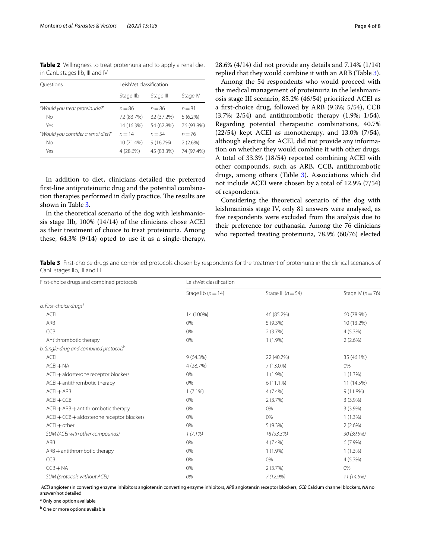<span id="page-3-0"></span>**Table 2** Willingness to treat proteinuria and to apply a renal diet in CanL stages IIb, III and IV

| Questions                          | LeishVet classification |            |            |  |
|------------------------------------|-------------------------|------------|------------|--|
|                                    | Stage IIb               | Stage III  | Stage IV   |  |
| "Would you treat proteinuria?"     | $n = 86$                | $n = 86$   | $n = 81$   |  |
| <b>No</b>                          | 72 (83.7%)              | 32 (37.2%) | 5(6.2%)    |  |
| Yes                                | 14 (16.3%)              | 54 (62.8%) | 76 (93.8%) |  |
| "Would you consider a renal diet?" | $n = 14$                | $n = 54$   | $n = 76$   |  |
| No                                 | 10 (71.4%)              | 9(16.7%)   | 2(2.6%)    |  |
| Yes                                | 4 (28.6%)               | 45 (83.3%) | 74 (97.4%) |  |

In addition to diet, clinicians detailed the preferred frst-line antiproteinuric drug and the potential combination therapies performed in daily practice. The results are shown in Table [3.](#page-3-1)

In the theoretical scenario of the dog with leishmaniosis stage IIb, 100% (14/14) of the clinicians chose ACEI as their treatment of choice to treat proteinuria. Among these, 64.3% (9/14) opted to use it as a single-therapy,

Among the 54 respondents who would proceed with the medical management of proteinuria in the leishmaniosis stage III scenario, 85.2% (46/54) prioritized ACEI as a frst-choice drug, followed by ARB (9.3%; 5/54), CCB (3.7%; 2/54) and antithrombotic therapy (1.9%; 1/54). Regarding potential therapeutic combinations, 40.7% (22/54) kept ACEI as monotherapy, and 13.0% (7/54), although electing for ACEI, did not provide any information on whether they would combine it with other drugs. A total of 33.3% (18/54) reported combining ACEI with other compounds, such as ARB, CCB, antithrombotic drugs, among others (Table [3](#page-3-1)). Associations which did not include ACEI were chosen by a total of 12.9% (7/54) of respondents.

Considering the theoretical scenario of the dog with leishmaniosis stage IV, only 81 answers were analysed, as fve respondents were excluded from the analysis due to their preference for euthanasia. Among the 76 clinicians who reported treating proteinuria, 78.9% (60/76) elected

<span id="page-3-1"></span>**Table 3** First-choice drugs and combined protocols chosen by respondents for the treatment of proteinuria in the clinical scenarios of CanL stages IIb, III and III

| First-choice drugs and combined protocols     | LeishVet classification |                    |                       |  |
|-----------------------------------------------|-------------------------|--------------------|-----------------------|--|
|                                               | Stage IIb $(n=14)$      | Stage III $(n=54)$ | Stage IV ( $n = 76$ ) |  |
| a. First-choice drugs <sup>a</sup>            |                         |                    |                       |  |
| <b>ACEI</b>                                   | 14 (100%)               | 46 (85.2%)         | 60 (78.9%)            |  |
| ARB                                           | 0%                      | $5(9.3\%)$         | 10 (13.2%)            |  |
| CCB                                           | 0%                      | 2(3.7%)            | 4(5.3%)               |  |
| Antithrombotic therapy                        | 0%                      | $1(1.9\%)$         | 2(2.6%)               |  |
| b. Single-drug and combined protocolsb        |                         |                    |                       |  |
| <b>ACEI</b>                                   | 9(64.3%)                | 22 (40.7%)         | 35 (46.1%)            |  |
| $ACEI + NA$                                   | 4(28.7%)                | 7 (13.0%)          | 0%                    |  |
| ACEI + aldosterone receptor blockers          | 0%                      | $1(1.9\%)$         | $1(1.3\%)$            |  |
| ACEI + antithrombotic therapy                 | 0%                      | $6(11.1\%)$        | 11 (14.5%)            |  |
| $ACEI + ARB$                                  | $1(7.1\%)$              | $4(7.4\%)$         | 9(11.8%)              |  |
| $ACEI + CCB$                                  | 0%                      | 2(3.7%)            | $3(3.9\%)$            |  |
| $ACEl + ARB + antithrombotic therapy$         | 0%                      | 0%                 | $3(3.9\%)$            |  |
| $ACEI + CCB + aldosterone receptor blocksers$ | 0%                      | 0%                 | 1(1.3%)               |  |
| $ACEl + other$                                | 0%                      | $5(9.3\%)$         | 2(2.6%)               |  |
| SUM (ACEI with other compounds)               | $1(7.1\%)$              | 18 (33.3%)         | 30 (39.5%)            |  |
| ARB                                           | 0%                      | 4(7.4%             | $6(7.9\%)$            |  |
| ARB + antithrombotic therapy                  | 0%                      | $1(1.9\%)$         | $1(1.3\%)$            |  |
| CCB                                           | 0%                      | 0%                 | 4(5.3%)               |  |
| $CCB + NA$                                    | 0%                      | 2(3.7%)            | 0%                    |  |
| SUM (protocols without ACEI)                  | 0%                      | 7(12.9%)           | 11(14.5%)             |  |

*ACEI* angiotensin converting enzyme inhibitors angiotensin converting enzyme inhibitors, *ARB* angiotensin receptor blockers, *CCB* Calcium channel blockers, *NA* no answer/not detailed

<sup>a</sup> Only one option available

<sup>b</sup> One or more options available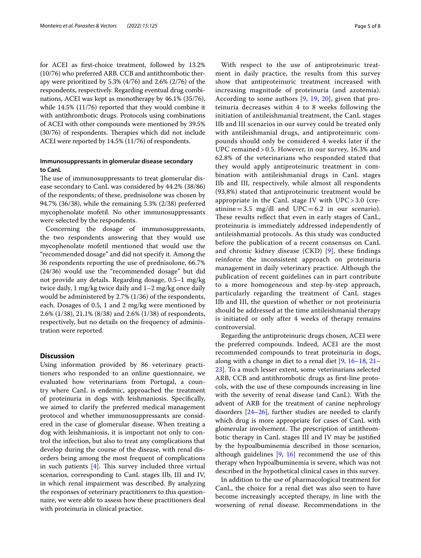for ACEI as frst-choice treatment, followed by 13.2% (10/76) who preferred ARB. CCB and antithrombotic therapy were prioritized by 5.3% (4/76) and 2.6% (2/76) of the respondents, respectively. Regarding eventual drug combinations, ACEI was kept as monotherapy by 46.1% (35/76), while 14.5% (11/76) reported that they would combine it with antithrombotic drugs. Protocols using combinations of ACEI with other compounds were mentioned by 39.5%  $(30/76)$  of respondents. Therapies which did not include ACEI were reported by 14.5% (11/76) of respondents.

# **Immunosuppressants in glomerular disease secondary to CanL**

The use of immunosuppressants to treat glomerular disease secondary to CanL was considered by 44.2% (38/86) of the respondents; of these, prednisolone was chosen by 94.7% (36/38), while the remaining 5.3% (2/38) preferred mycophenolate mofetil. No other immunosuppressants were selected by the respondents.

Concerning the dosage of immunosuppressants, the two respondents answering that they would use mycophenolate mofetil mentioned that would use the "recommended dosage" and did not specify it. Among the 36 respondents reporting the use of prednisolone, 66.7% (24/36) would use the "recommended dosage" but did not provide any details. Regarding dosage, 0.5–1 mg/kg twice daily, 1 mg/kg twice daily and 1–2 mg/kg once daily would be administered by 2.7% (1/36) of the respondents, each. Dosages of 0.5, 1 and 2 mg/kg were mentioned by 2.6% (1/38), 21.1% (8/38) and 2.6% (1/38) of respondents, respectively, but no details on the frequency of administration were reported.

# **Discussion**

Using information provided by 86 veterinary practitioners who responded to an online questionnaire, we evaluated how veterinarians from Portugal, a country where CanL is endemic, approached the treatment of proteinuria in dogs with leishmaniosis. Specifcally, we aimed to clarify the preferred medical management protocol and whether immunosuppressants are considered in the case of glomerular disease. When treating a dog with leishmaniosis, it is important not only to control the infection, but also to treat any complications that develop during the course of the disease, with renal disorders being among the most frequent of complications in such patients  $[4]$  $[4]$ . This survey included three virtual scenarios, corresponding to CanL stages IIb, III and IV, in which renal impairment was described. By analyzing the responses of veterinary practitioners to this questionnaire, we were able to assess how these practitioners deal with proteinuria in clinical practice.

With respect to the use of antiproteinuric treatment in daily practice, the results from this survey show that antiproteinuric treatment increased with increasing magnitude of proteinuria (and azotemia). According to some authors [\[9](#page-6-6), [19](#page-6-15), [20](#page-6-16)], given that proteinuria decreases within 4 to 8 weeks following the initiation of antileishmanial treatment, the CanL stages IIb and III scenarios in our survey could be treated only with antileishmanial drugs, and antiproteinuric compounds should only be considered 4 weeks later if the UPC remained > 0.5. However, in our survey, 16.3% and 62.8% of the veterinarians who responded stated that they would apply antiproteinuric treatment in combination with antileishmanial drugs in CanL stages IIb and III, respectively, while almost all respondents (93.8%) stated that antiproteinuric treatment would be appropriate in the CanL stage IV with  $UPC > 3.0$  (creatinine=3.5 mg/dl and UPC=6.2 in our scenario). These results reflect that even in early stages of CanL, proteinuria is immediately addressed independently of antileishmanial protocols. As this study was conducted before the publication of a recent consensus on CanL and chronic kidney disease (CKD) [[9\]](#page-6-6), these fndings reinforce the inconsistent approach on proteinuria management in daily veterinary practice. Although the publication of recent guidelines can in part contribute to a more homogeneous and step-by-step approach, particularly regarding the treatment of CanL stages IIb and III, the question of whether or not proteinuria should be addressed at the time antileishmanial therapy is initiated or only after 4 weeks of therapy remains controversial.

Regarding the antiproteinuric drugs chosen, ACEI were the preferred compounds. Indeed, ACEI are the most recommended compounds to treat proteinuria in dogs, along with a change in diet to a renal diet [\[9](#page-6-6), [16](#page-6-11)–[18,](#page-6-13) [21–](#page-6-17) [23\]](#page-6-18). To a much lesser extent, some veterinarians selected ARB, CCB and antithrombotic drugs as frst-line protocols, with the use of these compounds increasing in line with the severity of renal disease (and CanL). With the advent of ARB for the treatment of canine nephrology disorders  $[24-26]$  $[24-26]$  $[24-26]$ , further studies are needed to clarify which drug is more appropriate for cases of CanL with glomerular involvement. The prescription of antithrombotic therapy in CanL stages III and IV may be justifed by the hypoalbuminemia described in those scenarios, although guidelines [[9,](#page-6-6) [16](#page-6-11)] recommend the use of this therapy when hypoalbuminemia is severe, which was not described in the hypothetical clinical cases in this survey.

In addition to the use of pharmacological treatment for CanL, the choice for a renal diet was also seen to have become increasingly accepted therapy, in line with the worsening of renal disease. Recommendations in the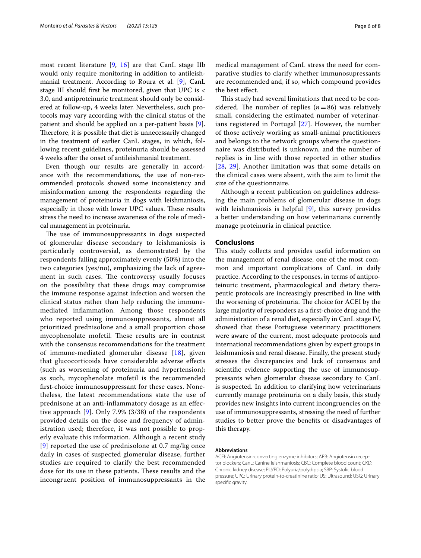most recent literature [\[9,](#page-6-6) [16\]](#page-6-11) are that CanL stage IIb would only require monitoring in addition to antileishmanial treatment. According to Roura et al. [[9\]](#page-6-6), CanL stage III should frst be monitored, given that UPC is < 3.0, and antiproteinuric treatment should only be considered at follow-up, 4 weeks later. Nevertheless, such protocols may vary according with the clinical status of the patient and should be applied on a per-patient basis [\[9](#page-6-6)]. Therefore, it is possible that diet is unnecessarily changed in the treatment of earlier CanL stages, in which, following recent guidelines, proteinuria should be assessed 4 weeks after the onset of antileishmanial treatment.

Even though our results are generally in accordance with the recommendations, the use of non-recommended protocols showed some inconsistency and misinformation among the respondents regarding the management of proteinuria in dogs with leishmaniosis, especially in those with lower UPC values. These results stress the need to increase awareness of the role of medical management in proteinuria.

The use of immunosuppressants in dogs suspected of glomerular disease secondary to leishmaniosis is particularly controversial, as demonstrated by the respondents falling approximately evenly (50%) into the two categories (yes/no), emphasizing the lack of agreement in such cases. The controversy usually focuses on the possibility that these drugs may compromise the immune response against infection and worsen the clinical status rather than help reducing the immunemediated infammation. Among those respondents who reported using immunosuppressants, almost all prioritized prednisolone and a small proportion chose mycophenolate mofetil. These results are in contrast with the consensus recommendations for the treatment of immune-mediated glomerular disease [\[18\]](#page-6-13), given that glucocorticoids have considerable adverse efects (such as worsening of proteinuria and hypertension); as such, mycophenolate mofetil is the recommended frst-choice immunosuppressant for these cases. Nonetheless, the latest recommendations state the use of prednisone at an anti-infammatory dosage as an efective approach [[9](#page-6-6)]. Only 7.9% (3/38) of the respondents provided details on the dose and frequency of administration used; therefore, it was not possible to properly evaluate this information. Although a recent study [[9](#page-6-6)] reported the use of prednisolone at 0.7 mg/kg once daily in cases of suspected glomerular disease, further studies are required to clarify the best recommended dose for its use in these patients. These results and the incongruent position of immunosuppressants in the medical management of CanL stress the need for comparative studies to clarify whether immunosupressants are recommended and, if so, which compound provides the best efect.

This study had several limitations that need to be considered. The number of replies  $(n=86)$  was relatively small, considering the estimated number of veterinarians registered in Portugal [[27\]](#page-7-0). However, the number of those actively working as small-animal practitioners and belongs to the network groups where the questionnaire was distributed is unknown, and the number of replies is in line with those reported in other studies [[28](#page-7-1), [29\]](#page-7-2). Another limitation was that some details on the clinical cases were absent, with the aim to limit the size of the questionnaire.

Although a recent publication on guidelines addressing the main problems of glomerular disease in dogs with leishmaniosis is helpful [\[9](#page-6-6)], this survey provides a better understanding on how veterinarians currently manage proteinuria in clinical practice.

# **Conclusions**

This study collects and provides useful information on the management of renal disease, one of the most common and important complications of CanL in daily practice. According to the responses, in terms of antiproteinuric treatment, pharmacological and dietary therapeutic protocols are increasingly prescribed in line with the worsening of proteinuria. The choice for ACEI by the large majority of responders as a frst-choice drug and the administration of a renal diet, especially in CanL stage IV, showed that these Portuguese veterinary practitioners were aware of the current, most adequate protocols and international recommendations given by expert groups in leishmaniosis and renal disease. Finally, the present study stresses the discrepancies and lack of consensus and scientifc evidence supporting the use of immunosuppressants when glomerular disease secondary to CanL is suspected. In addition to clarifying how veterinarians currently manage proteinuria on a daily basis, this study provides new insights into current incongruencies on the use of immunosuppressants, stressing the need of further studies to better prove the benefts or disadvantages of this therapy.

#### **Abbreviations**

ACEI: Angiotensin-converting enzyme inhibitors; ARB: Angiotensin receptor blockers; CanL: Canine leishmaniosis; CBC: Complete blood count; CKD: Chronic kidney disease; PU/PD: Polyuria/polydipsia; SBP: Systolic blood pressure; UPC: Urinary protein-to-creatinine ratio; US: Ultrasound; USG: Urinary specifc gravity.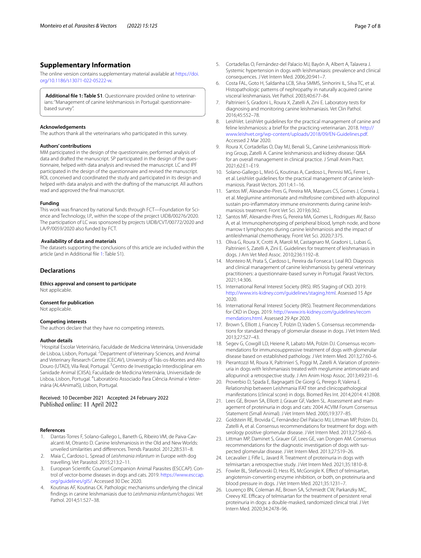# **Supplementary Information**

The online version contains supplementary material available at [https://doi.](https://doi.org/10.1186/s13071-022-05222-w) [org/10.1186/s13071-022-05222-w.](https://doi.org/10.1186/s13071-022-05222-w)

<span id="page-6-14"></span>**Additional fle 1: Table S1**. Questionnaire provided online to veterinarians: "Management of canine leishmaniosis in Portugal: questionnairebased survey".

# **Acknowledgements**

The authors thank all the veterinarians who participated in this survey.

#### **Authors' contributions**

MM participated in the design of the questionnaire, performed analysis of data and drafted the manuscript. SP participated in the design of the questionnaire, helped with data analysis and revised the manuscript. LC and IPF participated in the design of the questionnaire and revised the manuscript. ROL conceived and coordinated the study and participated in its design and helped with data analysis and with the drafting of the manuscript. All authors read and approved the fnal manuscript.

# **Funding**

This work was fnanced by national funds through FCT—Foundation for Science and Technology, I.P., within the scope of the project UIDB/00276/2020. The participation of LC was sponsored by projects UIDB/CVT/00772/2020 and LA/P/0059/2020 also funded by FCT.

# **Availability of data and materials**

The datasets supporting the conclusions of this article are included within the article (and in Additional fle [1:](#page-6-14) Table S1).

#### **Declarations**

**Ethics approval and consent to participate** Not applicable.

#### **Consent for publication**

Not applicable.

# **Competing interests**

The authors declare that they have no competing interests.

#### **Author details**

<sup>1</sup> Hospital Escolar Veterinário, Faculdade de Medicina Veterinária, Universidade de Lisboa, Lisbon, Portugal. <sup>2</sup> Department of Veterinary Sciences, and Animal and Veterinary Research Centre (CECAV), University of Trás-os-Montes and Alto Douro (UTAD), Vila Real, Portugal. <sup>3</sup> Centro de Investigação Interdisciplinar em Sanidade Animal (CIISA), Faculdade de Medicina Veterinária, Universidade de Lisboa, Lisbon, Portugal. <sup>4</sup>Laboratório Associado Para Ciência Animal e Veterinária (AL4AnimalS), Lisbon, Portugal.

#### Received: 10 December 2021 Accepted: 24 February 2022 Published online: 11 April 2022

#### **References**

- <span id="page-6-0"></span>1. Dantas-Torres F, Solano-Gallego L, Baneth G, Ribeiro VM, de Paiva-Cavalcanti M, Otranto D. Canine leishmaniosis in the Old and New Worlds: unveiled similarities and diferences. Trends Parasitol. 2012;28:531–8.
- 2. Maia C, Cardoso L. Spread of *Leishmania infantum* in Europe with dog travelling. Vet Parasitol. 2015;213:2–11.
- <span id="page-6-1"></span>European Scientific Counsel Companion Animal Parasites (ESCCAP). Control of vector-borne diseases in dogs and cats. 2019. [https://www.esccap.](https://www.esccap.org/guidelines/gl5/) [org/guidelines/gl5/](https://www.esccap.org/guidelines/gl5/). Accessed 30 Dec 2020.
- <span id="page-6-2"></span>4. Koutinas AF, Koutinas CK. Pathologic mechanisms underlying the clinical fndings in canine leishmaniasis due to *Leishmania infantum/chagasi*. Vet Pathol. 2014;51:527–38.
- 5. Cortadellas O, Fernández-del Palacio MJ, Bayón A, Albert A, Talavera J. Systemic hypertension in dogs with leishmaniasis: prevalence and clinical consequences. J Vet Intern Med. 2006;20:941–7.
- <span id="page-6-3"></span>6. Costa FAL, Goto H, Saldanha LCB, Silva SMMS, Sinhorini IL, Silva TC, et al. Histopathologic patterns of nephropathy in naturally acquired canine visceral leishmaniasis. Vet Pathol. 2003;40:677–84.
- <span id="page-6-4"></span>7. Paltrinieri S, Gradoni L, Roura X, Zatelli A, Zini E. Laboratory tests for diagnosing and monitoring canine leishmaniasis. Vet Clin Pathol. 2016;45:552–78.
- <span id="page-6-5"></span>8. LeishVet. LeishVet guidelines for the practical management of canine and feline leishmaniosis: a brief for the practicing veterinarian. 2018. [http://](http://www.leishvet.org/wp-content/uploads/2018/09/EN-Guidelines.pdf) [www.leishvet.org/wp-content/uploads/2018/09/EN-Guidelines.pdf.](http://www.leishvet.org/wp-content/uploads/2018/09/EN-Guidelines.pdf) Accessed 2 Mar 2020.
- <span id="page-6-6"></span>Roura X, Cortadellas O, Day MJ, Benali SL, Canine Leishmaniosis Working Group, Zatelli A. Canine leishmaniosis and kidney disease: Q&A for an overall management in clinical practice. J Small Anim Pract. 2021;62:E1–E19.
- <span id="page-6-7"></span>10. Solano-Gallego L, Miró G, Koutinas A, Cardoso L, Pennisi MG, Ferrer L, et al. LeishVet guidelines for the practical management of canine leishmaniosis. Parasit Vectors. 2011;4:1–16.
- 11. Santos MF, Alexandre-Pires G, Pereira MA, Marques CS, Gomes J, Correia J, et al. Meglumine antimoniate and miltefosine combined with allopurinol sustain pro-infammatory immune environments during canine leishmaniosis treatment. Front Vet Sci. 2019;6:362.
- 12. Santos MF, Alexandre-Pires G, Pereira MA, Gomes L, Rodrigues AV, Basso A, et al. Immunophenotyping of peripheral blood, lymph node, and bone marrow t lymphocytes during canine leishmaniosis and the impact of antileishmanial chemotherapy. Front Vet Sci. 2020;7:375.
- <span id="page-6-8"></span>13. Oliva G, Roura X, Crotti A, Maroli M, Castagnaro M, Gradoni L, Lubas G, Paltrinieri S, Zatelli A, Zini E. Guidelines for treatment of leishmaniasis in dogs. J Am Vet Med Assoc. 2010;236:1192–8.
- <span id="page-6-9"></span>14. Monteiro M, Prata S, Cardoso L, Pereira da Fonseca I, Leal RO. Diagnosis and clinical management of canine leishmaniosis by general veterinary practitioners: a questionnaire-based survey in Portugal. Parasit Vectors. 2021;14:306.
- <span id="page-6-10"></span>15. International Renal Interest Society (IRIS). IRIS Staging of CKD. 2019. <http://www.iris-kidney.com/guidelines/staging.html>. Assessed 15 Apr 2020.
- <span id="page-6-11"></span>16. International Renal Interest Society (IRIS). Treatment Recommendations for CKD in Dogs. 2019. [http://www.iris-kidney.com/guidelines/recom](http://www.iris-kidney.com/guidelines/recommendations.html) [mendations.html.](http://www.iris-kidney.com/guidelines/recommendations.html) Assessed 29 Apr 2020.
- <span id="page-6-12"></span>17. Brown S, Elliott J, Francey T, Polzin D, Vaden S. Consensus recommendations for standard therapy of glomerular disease in dogs. J Vet Intern Med. 2013;27:S27–43.
- <span id="page-6-13"></span>18. Segev G, Cowgill LD, Heiene R, Labato MA, Polzin DJ. Consensus recommendations for immunosuppressive treatment of dogs with glomerular disease based on established pathology. J Vet Intern Med. 2013;27:60–6.
- <span id="page-6-15"></span>19. Pierantozzi M, Roura X, Paltrinieri S, Poggi M, Zatelli A. Variation of proteinuria in dogs with leishmaniasis treated with meglumine antimoniate and allopurinol: a retrospective study. J Am Anim Hosp Assoc. 2013;49:231–6.
- <span id="page-6-16"></span>20. Proverbio D, Spada E, Bagnagatti De Giorgi G, Perego R, Valena E. Relationship between Leishmania IFAT titer and clinicopathological manifestations (clinical score) in dogs. Biomed Res Int. 2014;2014: 412808.
- <span id="page-6-17"></span>21. Lees GE, Brown SA, Elliott J, Grauer GF, Vaden SL. Assessment and management of proteinuria in dogs and cats: 2004 ACVIM Forum Consensus Statement (Small Animal). J Vet Intern Med. 2005;19:377–85.
- 22. Goldstein RE, Brovida C, Fernández-Del Palacio MJ, Littman MP, Polzin DJ, Zatelli A, et al. Consensus recommendations for treatment for dogs with serology positive glomerular disease. J Vet Intern Med. 2013;27:S60–6.
- <span id="page-6-18"></span>23. Littman MP, Daminet S, Grauer GF, Lees GE, van Dongen AM. Consensus recommendations for the diagnostic investigation of dogs with suspected glomerular disease. J Vet Intern Med. 2013;27:S19–26.
- <span id="page-6-19"></span>24. Lecavalier J, Fife L, Javard R. Treatment of proteinuria in dogs with telmisartan: a retrospective study. J Vet Intern Med. 2021;35:1810–8.
- 25. Fowler BL, Stefanovski D, Hess RS, McGonigle K. Efect of telmisartan, angiotensin-converting enzyme inhibition, or both, on proteinuria and blood pressure in dogs. J Vet Intern Med. 2021;35:1231–7.
- <span id="page-6-20"></span>26. Lourenço BN, Coleman AE, Brown SA, Schmiedt CW, Parkanzky MC, Creevy KE. Efficacy of telmisartan for the treatment of persistent renal proteinuria in dogs: a double-masked, randomized clinical trial. J Vet Intern Med. 2020;34:2478–96.